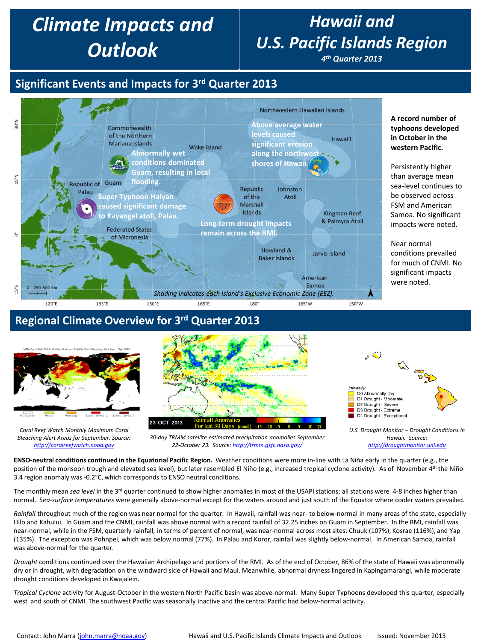# *Climate Impacts and Outlook*

# *Hawaii and U.S. Pacific Islands Region*

*4th Quarter 2013*

## **Significant Events and Impacts for 3rd Quarter 2013**



#### **Regional Climate Overview for 3rd Quarter 2013**



*Coral Reef Watch Monthly Maximum Coral Bleaching Alert Areas for September. Source: [http://coralreefwatch.noaa.gov](http://coralreefwatch.noaa.gov/)*



*[http://droughtmonitor.unl.edu](http://droughtmonitor.unl.edu/)*

*30-day TRMM satellite estimated precipitation anomalies September 22-October 23. Source:<http://trmm.gsfc.nasa.gov/>*

**ENSO-neutral conditions continued in the Equatorial Pacific Region.** Weather conditions were more in-line with La Niña early in the quarter (e.g., the position of the monsoon trough and elevated sea level), but later resembled El Niño (e.g., increased tropical cyclone activity). As of November 4<sup>th</sup> the Niño 3.4 region anomaly was -0.2°C, which corresponds to ENSO neutral conditions.

The monthly mean *sea level* in the 3<sup>rd</sup> quarter continued to show higher anomalies in most of the USAPI stations; all stations were 4-8 inches higher than normal. S*ea-surface temperatures* were generally above-normal except for the waters around and just south of the Equator where cooler waters prevailed.

*Rainfall* throughout much of the region was near normal for the quarter. In Hawaii, rainfall was near- to below-normal in many areas of the state, especially Hilo and Kahului. In Guam and the CNMI, rainfall was above normal with a record rainfall of 32.25 inches on Guam in September. In the RMI, rainfall was near-normal, while in the FSM, quarterly rainfall, in terms of percent of normal, was near-normal across most sites: Chuuk (107%), Kosrae (116%), and Yap (135%). The exception was Pohnpei, which was below normal (77%). In Palau and Koror, rainfall was slightly below-normal. In American Samoa, rainfall was above-normal for the quarter.

*Drought* conditions continued over the Hawaiian Archipelago and portions of the RMI. As of the end of October, 86% of the state of Hawaii was abnormally dry or in drought, with degradation on the windward side of Hawaii and Maui. Meanwhile, abnormal dryness lingered in Kapingamarangi, while moderate drought conditions developed in Kwajalein.

*Tropical Cyclone* activity for August-October in the western North Pacific basin was above-normal. Many Super Typhoons developed this quarter, especially west and south of CNMI. The southwest Pacific was seasonally inactive and the central Pacific had below-normal activity.